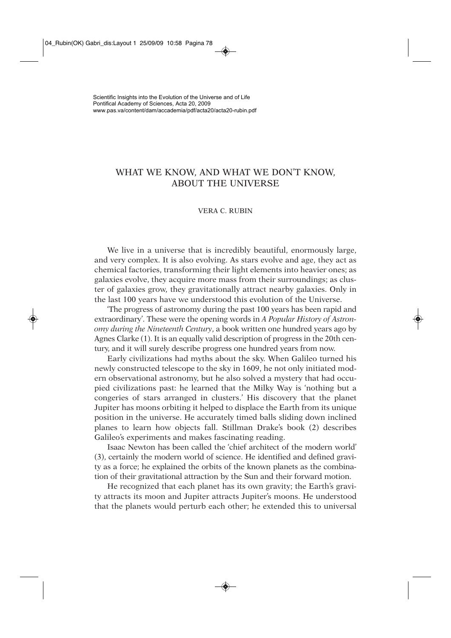## WHAT WE KNOW, AND WHAT WE DON'T KNOW, ABOUT THE UNIVERSE

## VERA C. RUBIN

We live in a universe that is incredibly beautiful, enormously large, and very complex. It is also evolving. As stars evolve and age, they act as chemical factories, transforming their light elements into heavier ones; as galaxies evolve, they acquire more mass from their surroundings; as cluster of galaxies grow, they gravitationally attract nearby galaxies. Only in the last 100 years have we understood this evolution of the Universe.

'The progress of astronomy during the past 100 years has been rapid and extraordinary'. These were the opening words in *A Popular History of Astronomy during the Nineteenth Century*, a book written one hundred years ago by Agnes Clarke (1). It is an equally valid description of progress in the 20th century, and it will surely describe progress one hundred years from now.

Early civilizations had myths about the sky. When Galileo turned his newly constructed telescope to the sky in 1609, he not only initiated modern observational astronomy, but he also solved a mystery that had occupied civilizations past: he learned that the Milky Way is 'nothing but a congeries of stars arranged in clusters.' His discovery that the planet Jupiter has moons orbiting it helped to displace the Earth from its unique position in the universe. He accurately timed balls sliding down inclined planes to learn how objects fall. Stillman Drake's book (2) describes Galileo's experiments and makes fascinating reading.

Isaac Newton has been called the 'chief architect of the modern world' (3), certainly the modern world of science. He identified and defined gravity as a force; he explained the orbits of the known planets as the combination of their gravitational attraction by the Sun and their forward motion.

He recognized that each planet has its own gravity; the Earth's gravity attracts its moon and Jupiter attracts Jupiter's moons. He understood that the planets would perturb each other; he extended this to universal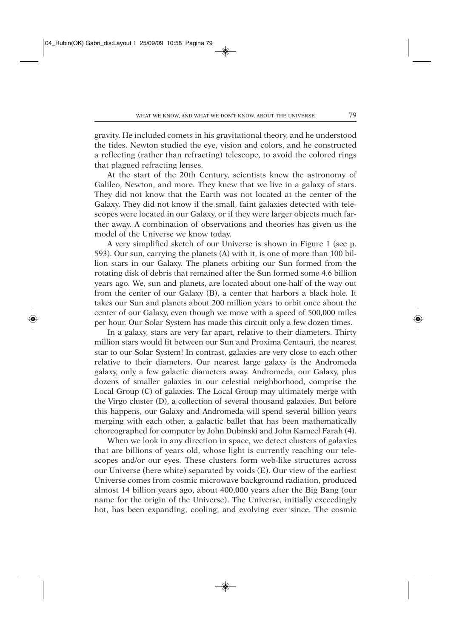gravity. He included comets in his gravitational theory, and he understood the tides. Newton studied the eye, vision and colors, and he constructed a reflecting (rather than refracting) telescope, to avoid the colored rings that plagued refracting lenses.

At the start of the 20th Century, scientists knew the astronomy of Galileo, Newton, and more. They knew that we live in a galaxy of stars. They did not know that the Earth was not located at the center of the Galaxy. They did not know if the small, faint galaxies detected with telescopes were located in our Galaxy, or if they were larger objects much farther away. A combination of observations and theories has given us the model of the Universe we know today.

A very simplified sketch of our Universe is shown in Figure 1 (see p. 593). Our sun, carrying the planets (A) with it, is one of more than 100 billion stars in our Galaxy. The planets orbiting our Sun formed from the rotating disk of debris that remained after the Sun formed some 4.6 billion years ago. We, sun and planets, are located about one-half of the way out from the center of our Galaxy (B), a center that harbors a black hole. It takes our Sun and planets about 200 million years to orbit once about the center of our Galaxy, even though we move with a speed of 500,000 miles per hour. Our Solar System has made this circuit only a few dozen times.

In a galaxy, stars are very far apart, relative to their diameters. Thirty million stars would fit between our Sun and Proxima Centauri, the nearest star to our Solar System! In contrast, galaxies are very close to each other relative to their diameters. Our nearest large galaxy is the Andromeda galaxy, only a few galactic diameters away. Andromeda, our Galaxy, plus dozens of smaller galaxies in our celestial neighborhood, comprise the Local Group (C) of galaxies. The Local Group may ultimately merge with the Virgo cluster (D), a collection of several thousand galaxies. But before this happens, our Galaxy and Andromeda will spend several billion years merging with each other, a galactic ballet that has been mathematically choreographed for computer by John Dubinski and John Kameel Farah (4).

When we look in any direction in space, we detect clusters of galaxies that are billions of years old, whose light is currently reaching our telescopes and/or our eyes. These clusters form web-like structures across our Universe (here white) separated by voids (E). Our view of the earliest Universe comes from cosmic microwave background radiation, produced almost 14 billion years ago, about 400,000 years after the Big Bang (our name for the origin of the Universe). The Universe, initially exceedingly hot, has been expanding, cooling, and evolving ever since. The cosmic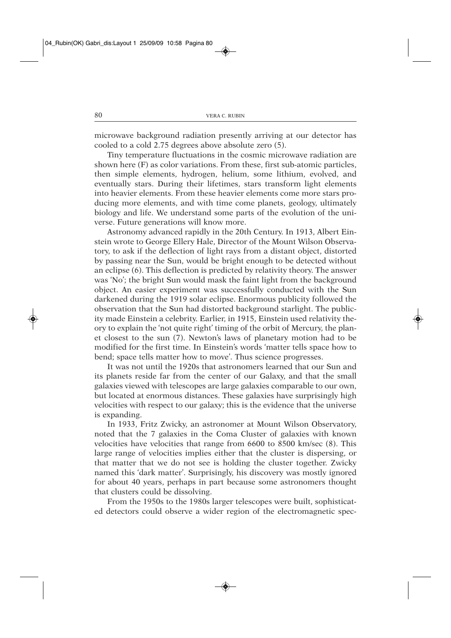microwave background radiation presently arriving at our detector has cooled to a cold 2.75 degrees above absolute zero (5).

Tiny temperature fluctuations in the cosmic microwave radiation are shown here (F) as color variations. From these, first sub-atomic particles, then simple elements, hydrogen, helium, some lithium, evolved, and eventually stars. During their lifetimes, stars transform light elements into heavier elements. From these heavier elements come more stars producing more elements, and with time come planets, geology, ultimately biology and life. We understand some parts of the evolution of the universe. Future generations will know more.

Astronomy advanced rapidly in the 20th Century. In 1913, Albert Einstein wrote to George Ellery Hale, Director of the Mount Wilson Observatory, to ask if the deflection of light rays from a distant object, distorted by passing near the Sun, would be bright enough to be detected without an eclipse (6). This deflection is predicted by relativity theory. The answer was 'No'; the bright Sun would mask the faint light from the background object. An easier experiment was successfully conducted with the Sun darkened during the 1919 solar eclipse. Enormous publicity followed the observation that the Sun had distorted background starlight. The publicity made Einstein a celebrity. Earlier, in 1915, Einstein used relativity theory to explain the 'not quite right' timing of the orbit of Mercury, the planet closest to the sun (7). Newton's laws of planetary motion had to be modified for the first time. In Einstein's words 'matter tells space how to bend; space tells matter how to move'. Thus science progresses.

It was not until the 1920s that astronomers learned that our Sun and its planets reside far from the center of our Galaxy, and that the small galaxies viewed with telescopes are large galaxies comparable to our own, but located at enormous distances. These galaxies have surprisingly high velocities with respect to our galaxy; this is the evidence that the universe is expanding.

In 1933, Fritz Zwicky, an astronomer at Mount Wilson Observatory, noted that the 7 galaxies in the Coma Cluster of galaxies with known velocities have velocities that range from 6600 to 8500 km/sec (8). This large range of velocities implies either that the cluster is dispersing, or that matter that we do not see is holding the cluster together. Zwicky named this 'dark matter'. Surprisingly, his discovery was mostly ignored for about 40 years, perhaps in part because some astronomers thought that clusters could be dissolving.

From the 1950s to the 1980s larger telescopes were built, sophisticated detectors could observe a wider region of the electromagnetic spec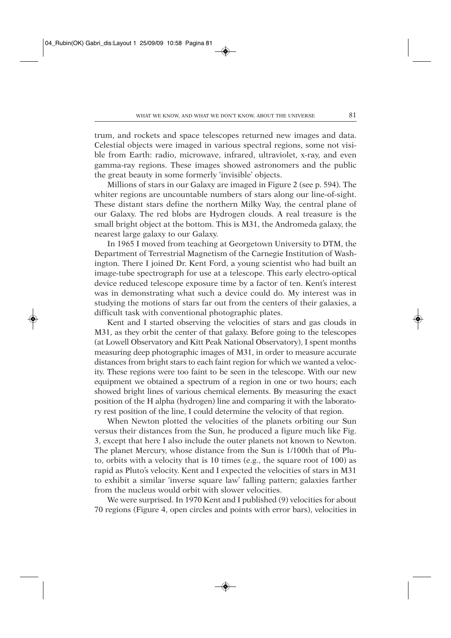trum, and rockets and space telescopes returned new images and data. Celestial objects were imaged in various spectral regions, some not visible from Earth: radio, microwave, infrared, ultraviolet, x-ray, and even gamma-ray regions. These images showed astronomers and the public the great beauty in some formerly 'invisible' objects.

Millions of stars in our Galaxy are imaged in Figure 2 (see p. 594). The whiter regions are uncountable numbers of stars along our line-of-sight. These distant stars define the northern Milky Way, the central plane of our Galaxy. The red blobs are Hydrogen clouds. A real treasure is the small bright object at the bottom. This is M31, the Andromeda galaxy, the nearest large galaxy to our Galaxy.

In 1965 I moved from teaching at Georgetown University to DTM, the Department of Terrestrial Magnetism of the Carnegie Institution of Washington. There I joined Dr. Kent Ford, a young scientist who had built an image-tube spectrograph for use at a telescope. This early electro-optical device reduced telescope exposure time by a factor of ten. Kent's interest was in demonstrating what such a device could do. My interest was in studying the motions of stars far out from the centers of their galaxies, a difficult task with conventional photographic plates.

Kent and I started observing the velocities of stars and gas clouds in M31, as they orbit the center of that galaxy. Before going to the telescopes (at Lowell Observatory and Kitt Peak National Observatory), I spent months measuring deep photographic images of M31, in order to measure accurate distances from bright stars to each faint region for which we wanted a velocity. These regions were too faint to be seen in the telescope. With our new equipment we obtained a spectrum of a region in one or two hours; each showed bright lines of various chemical elements. By measuring the exact position of the H alpha (hydrogen) line and comparing it with the laboratory rest position of the line, I could determine the velocity of that region.

When Newton plotted the velocities of the planets orbiting our Sun versus their distances from the Sun, he produced a figure much like Fig. 3, except that here I also include the outer planets not known to Newton. The planet Mercury, whose distance from the Sun is 1/100th that of Pluto, orbits with a velocity that is 10 times (e.g., the square root of 100) as rapid as Pluto's velocity. Kent and I expected the velocities of stars in M31 to exhibit a similar 'inverse square law' falling pattern; galaxies farther from the nucleus would orbit with slower velocities.

We were surprised. In 1970 Kent and I published (9) velocities for about 70 regions (Figure 4, open circles and points with error bars), velocities in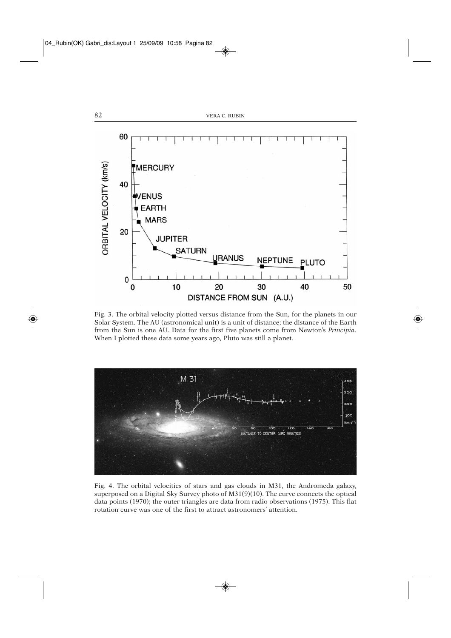

Fig. 3. The orbital velocity plotted versus distance from the Sun, for the planets in our Solar System. The AU (astronomical unit) is a unit of distance; the distance of the Earth from the Sun is one AU. Data for the first five planets come from Newton's *Principia*. When I plotted these data some years ago, Pluto was still a planet.



Fig. 4. The orbital velocities of stars and gas clouds in M31, the Andromeda galaxy, superposed on a Digital Sky Survey photo of M31(9)(10). The curve connects the optical data points (1970); the outer triangles are data from radio observations (1975). This flat rotation curve was one of the first to attract astronomers' attention.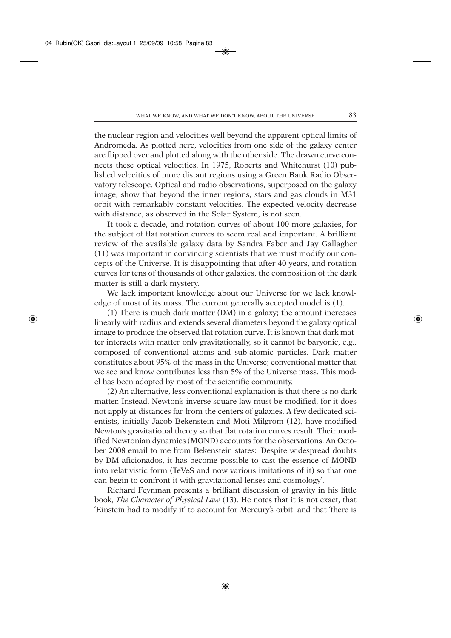the nuclear region and velocities well beyond the apparent optical limits of Andromeda. As plotted here, velocities from one side of the galaxy center are flipped over and plotted along with the other side. The drawn curve connects these optical velocities. In 1975, Roberts and Whitehurst (10) published velocities of more distant regions using a Green Bank Radio Observatory telescope. Optical and radio observations, superposed on the galaxy image, show that beyond the inner regions, stars and gas clouds in M31 orbit with remarkably constant velocities. The expected velocity decrease with distance, as observed in the Solar System, is not seen.

It took a decade, and rotation curves of about 100 more galaxies, for the subject of flat rotation curves to seem real and important. A brilliant review of the available galaxy data by Sandra Faber and Jay Gallagher (11) was important in convincing scientists that we must modify our concepts of the Universe. It is disappointing that after 40 years, and rotation curves for tens of thousands of other galaxies, the composition of the dark matter is still a dark mystery.

We lack important knowledge about our Universe for we lack knowledge of most of its mass. The current generally accepted model is (1).

(1) There is much dark matter (DM) in a galaxy; the amount increases linearly with radius and extends several diameters beyond the galaxy optical image to produce the observed flat rotation curve. It is known that dark matter interacts with matter only gravitationally, so it cannot be baryonic, e.g., composed of conventional atoms and sub-atomic particles. Dark matter constitutes about 95% of the mass in the Universe; conventional matter that we see and know contributes less than 5% of the Universe mass. This model has been adopted by most of the scientific community.

(2) An alternative, less conventional explanation is that there is no dark matter. Instead, Newton's inverse square law must be modified, for it does not apply at distances far from the centers of galaxies. A few dedicated scientists, initially Jacob Bekenstein and Moti Milgrom (12), have modified Newton's gravitational theory so that flat rotation curves result. Their modified Newtonian dynamics (MOND) accounts for the observations. An October 2008 email to me from Bekenstein states: 'Despite widespread doubts by DM aficionados, it has become possible to cast the essence of MOND into relativistic form (TeVeS and now various imitations of it) so that one can begin to confront it with gravitational lenses and cosmology'.

Richard Feynman presents a brilliant discussion of gravity in his little book, *The Character of Physical Law* (13). He notes that it is not exact, that 'Einstein had to modify it' to account for Mercury's orbit, and that 'there is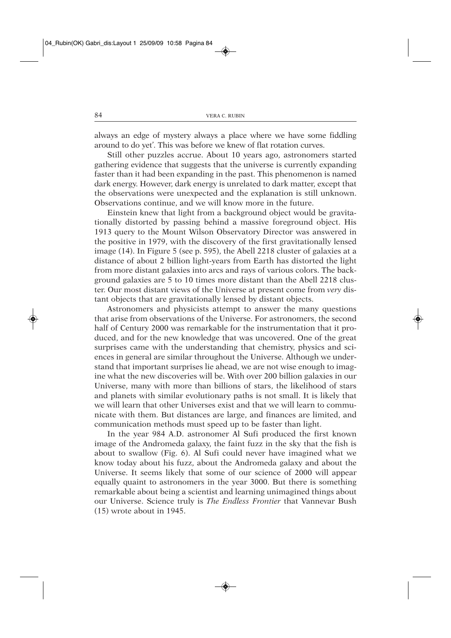always an edge of mystery always a place where we have some fiddling around to do yet'. This was before we knew of flat rotation curves.

Still other puzzles accrue. About 10 years ago, astronomers started gathering evidence that suggests that the universe is currently expanding faster than it had been expanding in the past. This phenomenon is named dark energy. However, dark energy is unrelated to dark matter, except that the observations were unexpected and the explanation is still unknown. Observations continue, and we will know more in the future.

Einstein knew that light from a background object would be gravitationally distorted by passing behind a massive foreground object. His 1913 query to the Mount Wilson Observatory Director was answered in the positive in 1979, with the discovery of the first gravitationally lensed image (14). In Figure 5 (see p. 595), the Abell 2218 cluster of galaxies at a distance of about 2 billion light-years from Earth has distorted the light from more distant galaxies into arcs and rays of various colors. The background galaxies are 5 to 10 times more distant than the Abell 2218 cluster. Our most distant views of the Universe at present come from *very* distant objects that are gravitationally lensed by distant objects.

Astronomers and physicists attempt to answer the many questions that arise from observations of the Universe. For astronomers, the second half of Century 2000 was remarkable for the instrumentation that it produced, and for the new knowledge that was uncovered. One of the great surprises came with the understanding that chemistry, physics and sciences in general are similar throughout the Universe. Although we understand that important surprises lie ahead, we are not wise enough to imagine what the new discoveries will be. With over 200 billion galaxies in our Universe, many with more than billions of stars, the likelihood of stars and planets with similar evolutionary paths is not small. It is likely that we will learn that other Universes exist and that we will learn to communicate with them. But distances are large, and finances are limited, and communication methods must speed up to be faster than light.

In the year 984 A.D. astronomer Al Sufi produced the first known image of the Andromeda galaxy, the faint fuzz in the sky that the fish is about to swallow (Fig. 6). Al Sufi could never have imagined what we know today about his fuzz, about the Andromeda galaxy and about the Universe. It seems likely that some of our science of 2000 will appear equally quaint to astronomers in the year 3000. But there is something remarkable about being a scientist and learning unimagined things about our Universe. Science truly is *The Endless Frontier* that Vannevar Bush (15) wrote about in 1945.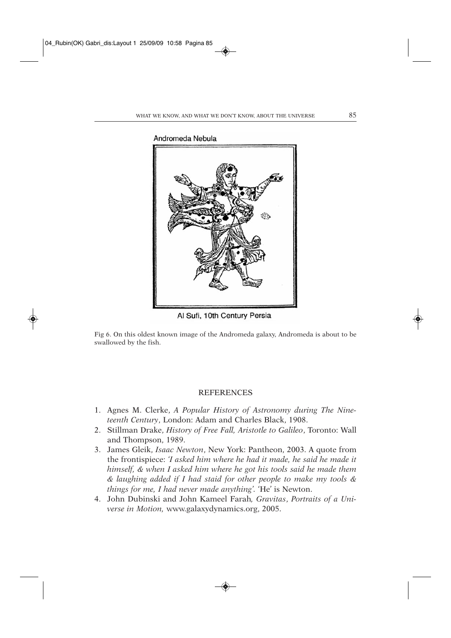

Al Sufi, 10th Century Persia

Fig 6. On this oldest known image of the Andromeda galaxy, Andromeda is about to be swallowed by the fish.

## **REFERENCES**

- 1. Agnes M. Clerke, *A Popular History of Astronomy during The Nineteenth Century*, London: Adam and Charles Black, 1908.
- 2. Stillman Drake, *History of Free Fall, Aristotle to Galileo*, Toronto: Wall and Thompson, 1989.
- 3. James Gleik, *Isaac Newton*, New York: Pantheon, 2003. A quote from the frontispiece: *'I asked him where he had it made, he said he made it himself, & when I asked him where he got his tools said he made them & laughing added if I had staid for other people to make my tools & things for me, I had never made anything'.* 'He' is Newton.
- 4. John Dubinski and John Kameel Farah*, Gravitas*, *Portraits of a Universe in Motion,* www.galaxydynamics.org, 2005.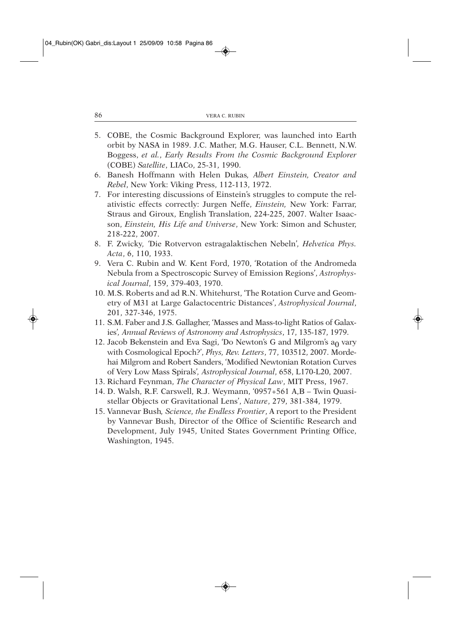- 5. COBE, the Cosmic Background Explorer, was launched into Earth orbit by NASA in 1989. J.C. Mather, M.G. Hauser, C.L. Bennett, N.W. Boggess, *et al.*, *Early Results From the Cosmic Background Explorer* (COBE) *Satellite*, LIACo, 25-31, 1990.
- 6. Banesh Hoffmann with Helen Dukas*, Albert Einstein, Creator and Rebel*, New York: Viking Press, 112-113, 1972.
- 7. For interesting discussions of Einstein's struggles to compute the relativistic effects correctly: Jurgen Neffe, *Einstein,* New York: Farrar, Straus and Giroux, English Translation, 224-225, 2007. Walter Isaacson, *Einstein, His Life and Universe*, New York: Simon and Schuster, 218-222, 2007.
- 8. F. Zwicky*, '*Die Rotvervon estragalaktischen Nebeln'*, Helvetica Phys. Acta*, 6, 110, 1933.
- 9. Vera C. Rubin and W. Kent Ford, 1970, 'Rotation of the Andromeda Nebula from a Spectroscopic Survey of Emission Regions', *Astrophysical Journal*, 159, 379-403, 1970.
- 10. M.S. Roberts and ad R.N. Whitehurst, 'The Rotation Curve and Geometry of M31 at Large Galactocentric Distances', *Astrophysical Journal*, 201, 327-346, 1975.
- 11. S.M. Faber and J.S. Gallagher, 'Masses and Mass-to-light Ratios of Galaxies'*, Annual Reviews of Astronomy and Astrophysics*, 17, 135-187, 1979.
- 12. Jacob Bekenstein and Eva Sagi, 'Do Newton's G and Milgrom's  $a_0$  vary with Cosmological Epoch?', *Phys, Rev. Letters*, 77, 103512, 2007. Mordehai Milgrom and Robert Sanders, 'Modified Newtonian Rotation Curves of Very Low Mass Spirals'*, Astrophysical Journal*, 658, L170-L20, 2007.
- 13. Richard Feynman, *The Character of Physical Law*, MIT Press, 1967.
- 14. D. Walsh, R.F. Carswell, R.J. Weymann, '0957+561 A,B Twin Quasistellar Objects or Gravitational Lens', *Nature*, 279, 381-384, 1979.
- 15. Vannevar Bush*, Science, the Endless Frontier*, A report to the President by Vannevar Bush, Director of the Office of Scientific Research and Development, July 1945, United States Government Printing Office, Washington, 1945.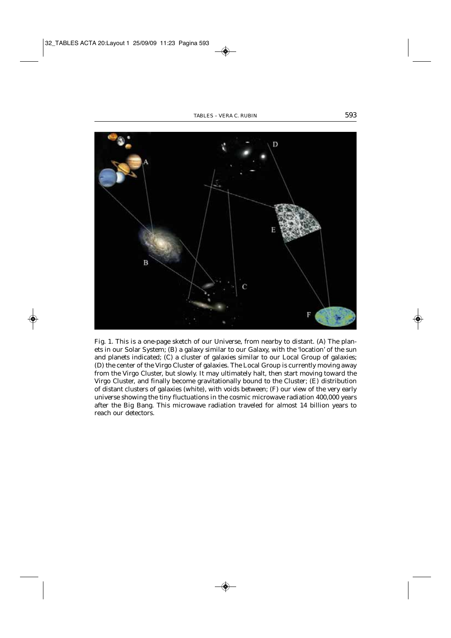

Fig. 1. This is a one-page sketch of our Universe, from nearby to distant. (A) The planets in our Solar System; (B) a galaxy similar to our Galaxy, with the 'location' of the sun and planets indicated; (C) a cluster of galaxies similar to our Local Group of galaxies; (D) the center of the Virgo Cluster of galaxies. The Local Group is currently moving away from the Virgo Cluster, but slowly. It may ultimately halt, then start moving toward the Virgo Cluster, and finally become gravitationally bound to the Cluster; (E) distribution of distant clusters of galaxies (white), with voids between; (F) our view of the very early universe showing the tiny fluctuations in the cosmic microwave radiation 400,000 years after the Big Bang. This microwave radiation traveled for almost 14 billion years to reach our detectors.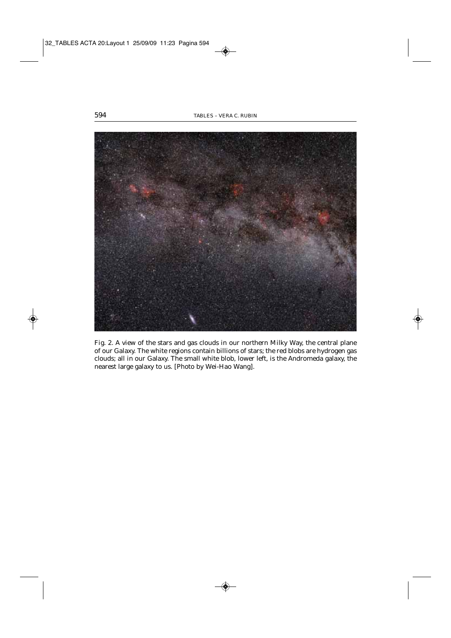

Fig. 2. A view of the stars and gas clouds in our northern Milky Way, the central plane of our Galaxy. The white regions contain billions of stars; the red blobs are hydrogen gas clouds; all in our Galaxy. The small white blob, lower left, is the Andromeda galaxy, the nearest large galaxy to us. [Photo by Wei-Hao Wang].